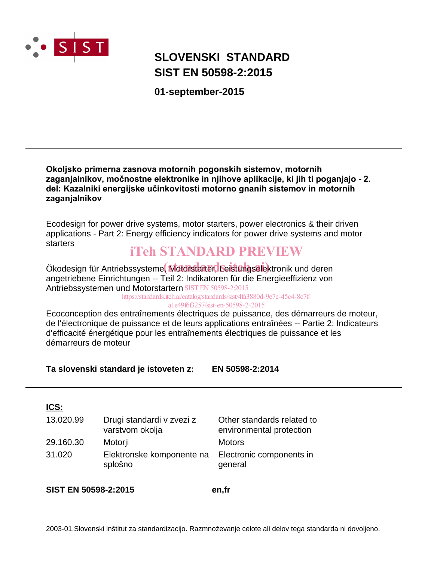

# **SIST EN 50598-2:2015 SLOVENSKI STANDARD**

**01-september-2015**

Okoljsko primerna zasnova motornih pogonskih sistemov, motornih zaganjalnikov, močnostne elektronike in njihove aplikacije, ki jih ti poganjajo - 2. del: Kazalniki energijske učinkovitosti motorno gnanih sistemov in motornih zaganjalnikov

Ecodesign for power drive systems, motor starters, power electronics & their driven applications - Part 2: Energy efficiency indicators for power drive systems and motor starters

## iTeh STANDARD PREVIEW

Ökodesign für Antriebssysteme<mark>( Motorstarter, Leistun</mark>gselektronik und deren angetriebene Einrichtungen -- Teil 2: Indikatoren für die Energieeffizienz von Antriebssystemen und Motorstartern SIST EN 50598-2:2015

https://standards.iteh.ai/catalog/standards/sist/4fa3880d-9e7c-45c4-8c7fa1e49f6f3257/sist-en-50598-2-2015

Ecoconception des entraînements électriques de puissance, des démarreurs de moteur, de l'électronique de puissance et de leurs applications entraînées -- Partie 2: Indicateurs d'efficacité énergétique pour les entraînements électriques de puissance et les démarreurs de moteur

**Ta slovenski standard je istoveten z: EN 50598-2:2014**

## **ICS:**

31.020 Elektronske komponente na splošno Electronic components in general 29.160.30 Motorii Motors 13.020.99 Drugi standardi v zvezi z varstvom okolja Other standards related to environmental protection

**SIST EN 50598-2:2015 en,fr**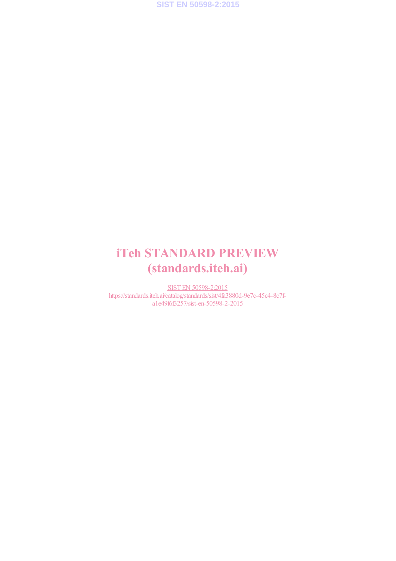**SIST EN 50598-2:2015**

# iTeh STANDARD PREVIEW (standards.iteh.ai)

SIST EN 50598-2:2015 https://standards.iteh.ai/catalog/standards/sist/4fa3880d-9e7c-45c4-8c7fa1e49f6f3257/sist-en-50598-2-2015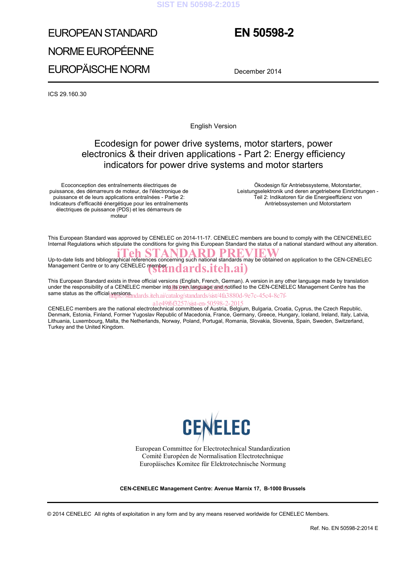#### **SIST EN 50598-2:2015**

# EUROPEAN STANDARD NORME EUROPÉENNE EUROPÄISCHE NORM

## **EN 50598-2**

December 2014

ICS 29.160.30

English Version

## Ecodesign for power drive systems, motor starters, power electronics & their driven applications - Part 2: Energy efficiency indicators for power drive systems and motor starters

Ecoconception des entraînements électriques de puissance, des démarreurs de moteur, de l'électronique de puissance et de leurs applications entraînées - Partie 2: Indicateurs d'efficacité énergétique pour les entraînements électriques de puissance (PDS) et les démarreurs de moteur

Ökodesign für Antriebssysteme, Motorstarter, Leistungselektronik und deren angetriebene Einrichtungen - Teil 2: Indikatoren für die Energieeffizienz von Antriebssystemen und Motorstartern

This European Standard was approved by CENELEC on 2014-11-17. CENELEC members are bound to comply with the CEN/CENELEC Internal Regulations which stipulate the conditions for giving this European Standard the status of a national standard without any alteration.

Up-to-date lists and bibliographical references concerning such national standards may be obtained on application to the CEN-CENELEC Management Centre or to any CENELEC member. (standards.iteh.ai)

This European Standard exists in three official versions (English, French, German). A version in any other language made by translation under the responsibility of a CENELEC member into its own language and notified to the CEN-CENELEC Management Centre has the same status as the official <u>wersions. Iteh.ai/catalog</u>/standards/sist/4fa3880d-9e7c-45c4-8c7f-

a1e49f6f3257/sist-en-50598-2-2015

CENELEC members are the national electrotechnical committees of Austria, Belgium, Bulgaria, Croatia, Cyprus, the Czech Republic, Denmark, Estonia, Finland, Former Yugoslav Republic of Macedonia, France, Germany, Greece, Hungary, Iceland, Ireland, Italy, Latvia, Lithuania, Luxembourg, Malta, the Netherlands, Norway, Poland, Portugal, Romania, Slovakia, Slovenia, Spain, Sweden, Switzerland, Turkey and the United Kingdom.



European Committee for Electrotechnical Standardization Comité Européen de Normalisation Electrotechnique Europäisches Komitee für Elektrotechnische Normung

**CEN-CENELEC Management Centre: Avenue Marnix 17, B-1000 Brussels**

© 2014 CENELEC All rights of exploitation in any form and by any means reserved worldwide for CENELEC Members.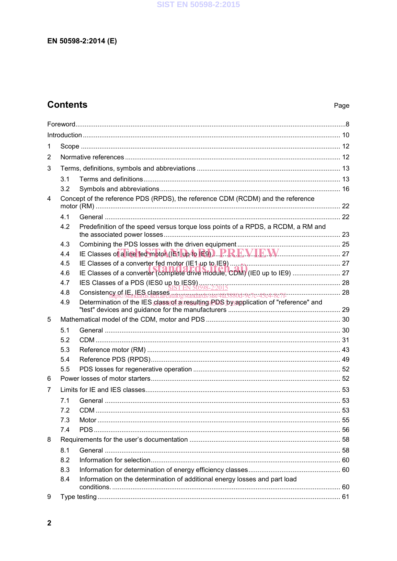## **Contents**

#### Page

| 1 |                                                                                 |                                                                                     |  |
|---|---------------------------------------------------------------------------------|-------------------------------------------------------------------------------------|--|
| 2 |                                                                                 |                                                                                     |  |
| 3 |                                                                                 |                                                                                     |  |
|   | 3.1                                                                             |                                                                                     |  |
|   | 3.2                                                                             |                                                                                     |  |
| 4 | Concept of the reference PDS (RPDS), the reference CDM (RCDM) and the reference |                                                                                     |  |
|   |                                                                                 |                                                                                     |  |
|   | 4.1                                                                             |                                                                                     |  |
|   | 4.2                                                                             | Predefinition of the speed versus torque loss points of a RPDS, a RCDM, a RM and    |  |
|   | 4.3                                                                             |                                                                                     |  |
|   | 4.4                                                                             |                                                                                     |  |
|   | 4.5                                                                             |                                                                                     |  |
|   | 4.6                                                                             | IE Classes of a converter (complete drive module, CDM) (IE0 up to IE9)  27          |  |
|   | 4.7                                                                             |                                                                                     |  |
|   | 4.8                                                                             |                                                                                     |  |
|   | 4.9                                                                             | Determination of the IES class of a resulting PDS by application of "reference" and |  |
| 5 |                                                                                 |                                                                                     |  |
|   | 5.1                                                                             |                                                                                     |  |
|   | 5.2                                                                             |                                                                                     |  |
|   | 5.3                                                                             |                                                                                     |  |
|   | 5.4                                                                             |                                                                                     |  |
|   | 5.5                                                                             |                                                                                     |  |
| 6 |                                                                                 |                                                                                     |  |
| 7 |                                                                                 |                                                                                     |  |
|   | 7.1                                                                             |                                                                                     |  |
|   | 7.2                                                                             |                                                                                     |  |
|   | 7.3                                                                             |                                                                                     |  |
|   | 7.4                                                                             |                                                                                     |  |
| 8 |                                                                                 |                                                                                     |  |
|   | 8.1                                                                             |                                                                                     |  |
|   | 8.2                                                                             |                                                                                     |  |
|   | 8.3                                                                             |                                                                                     |  |
|   | 8.4                                                                             | Information on the determination of additional energy losses and part load          |  |
| 9 |                                                                                 |                                                                                     |  |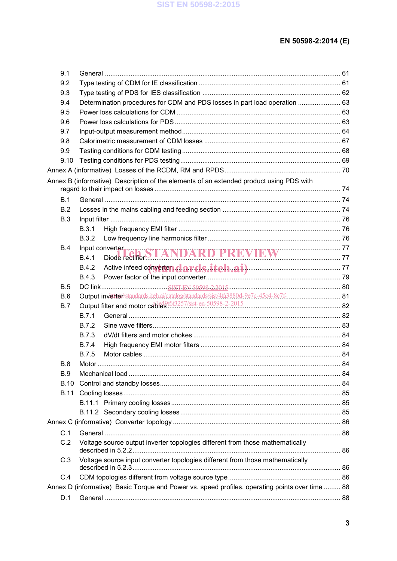| 9.1         |              |                                                                                                 |  |
|-------------|--------------|-------------------------------------------------------------------------------------------------|--|
| 9.2         |              |                                                                                                 |  |
| 9.3         |              |                                                                                                 |  |
| 9.4         |              | Determination procedures for CDM and PDS losses in part load operation  63                      |  |
| 9.5         |              |                                                                                                 |  |
| 9.6         |              |                                                                                                 |  |
| 9.7         |              |                                                                                                 |  |
| 9.8         |              |                                                                                                 |  |
| 9.9         |              |                                                                                                 |  |
| 9.10        |              |                                                                                                 |  |
|             |              |                                                                                                 |  |
|             |              | Annex B (informative) Description of the elements of an extended product using PDS with         |  |
| B.1         |              |                                                                                                 |  |
| B.2         |              |                                                                                                 |  |
| B.3         |              |                                                                                                 |  |
|             | B.3.1        |                                                                                                 |  |
|             | <b>B.3.2</b> |                                                                                                 |  |
| <b>B.4</b>  |              |                                                                                                 |  |
|             |              | Input converter<br>B.4.1 Diode rectifierSTANDARD PREVIEW 77                                     |  |
|             | <b>B.4.2</b> |                                                                                                 |  |
|             | <b>B.4.3</b> |                                                                                                 |  |
| B.5         |              |                                                                                                 |  |
| B.6         |              | Output inverter/standards.itch.ai/catalog/standards/sist/4fa3880d-9e7c-45c4-8c7f- 81            |  |
| B.7         |              | Output filter and motor cables <b>6.629663257/sist-en-50598-2-2015</b> [2015]                   |  |
|             | B.7.1        |                                                                                                 |  |
|             | <b>B.7.2</b> |                                                                                                 |  |
|             | <b>B.7.3</b> |                                                                                                 |  |
|             | <b>B.7.4</b> |                                                                                                 |  |
|             | <b>B.7.5</b> |                                                                                                 |  |
| B.8         |              |                                                                                                 |  |
| B.9         |              |                                                                                                 |  |
| <b>B.10</b> |              |                                                                                                 |  |
| <b>B.11</b> |              |                                                                                                 |  |
|             |              |                                                                                                 |  |
|             |              |                                                                                                 |  |
|             |              |                                                                                                 |  |
| C.1         |              |                                                                                                 |  |
| C.2         |              | Voltage source output inverter topologies different from those mathematically                   |  |
| C.3         |              | Voltage source input converter topologies different from those mathematically                   |  |
| C.4         |              |                                                                                                 |  |
|             |              | Annex D (informative) Basic Torque and Power vs. speed profiles, operating points over time  88 |  |
| D.1         |              |                                                                                                 |  |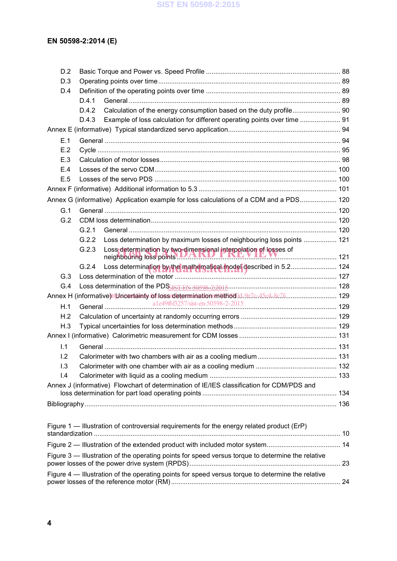| D.2                     |                                                                                                                                                                                                                                |  |
|-------------------------|--------------------------------------------------------------------------------------------------------------------------------------------------------------------------------------------------------------------------------|--|
| D.3                     |                                                                                                                                                                                                                                |  |
| D.4                     |                                                                                                                                                                                                                                |  |
|                         | D.4.1                                                                                                                                                                                                                          |  |
|                         | Calculation of the energy consumption based on the duty profile 90<br>D.4.2                                                                                                                                                    |  |
|                         | Example of loss calculation for different operating points over time  91<br>D.4.3                                                                                                                                              |  |
|                         |                                                                                                                                                                                                                                |  |
| E.1                     |                                                                                                                                                                                                                                |  |
| E.2                     |                                                                                                                                                                                                                                |  |
| E.3                     |                                                                                                                                                                                                                                |  |
| E.4                     |                                                                                                                                                                                                                                |  |
| E.5                     |                                                                                                                                                                                                                                |  |
|                         |                                                                                                                                                                                                                                |  |
|                         | Annex G (informative) Application example for loss calculations of a CDM and a PDS 120                                                                                                                                         |  |
| G.1                     |                                                                                                                                                                                                                                |  |
| G.2                     |                                                                                                                                                                                                                                |  |
|                         | G.2.1                                                                                                                                                                                                                          |  |
|                         | Loss determination by maximum losses of neighbouring loss points  121<br>G.2.2                                                                                                                                                 |  |
|                         | Loss determination by two-dimensional interpolation of losses of<br>G.2.3<br>neighbouring loss points <b>UAKU FREVIEW</b> 11. W                                                                                                |  |
|                         | G.2.4                                                                                                                                                                                                                          |  |
| G.3                     |                                                                                                                                                                                                                                |  |
| G.4                     | Loss determination of the PDS as a reason of the set of the PDS and the reason of the PDS as a reason of the PDS as a reason of the mass and the mass of the set of the set of the set of the set of the set of the set of the |  |
|                         |                                                                                                                                                                                                                                |  |
| H.1                     |                                                                                                                                                                                                                                |  |
| H.2                     |                                                                                                                                                                                                                                |  |
| H.3                     |                                                                                                                                                                                                                                |  |
|                         |                                                                                                                                                                                                                                |  |
| 1.1                     |                                                                                                                                                                                                                                |  |
| 1.2                     |                                                                                                                                                                                                                                |  |
| 1.3                     |                                                                                                                                                                                                                                |  |
| $\mathsf{I}.\mathsf{4}$ |                                                                                                                                                                                                                                |  |
|                         | Annex J (informative) Flowchart of determination of IE/IES classification for CDM/PDS and                                                                                                                                      |  |
|                         |                                                                                                                                                                                                                                |  |
|                         |                                                                                                                                                                                                                                |  |
|                         | Figure 1 — Illustration of controversial requirements for the energy related product (ErP)                                                                                                                                     |  |
|                         |                                                                                                                                                                                                                                |  |
|                         |                                                                                                                                                                                                                                |  |
|                         | Figure 3 - Illustration of the operating points for speed versus torque to determine the relative                                                                                                                              |  |
|                         | Figure 4 — Illustration of the operating points for speed versus torque to determine the relative                                                                                                                              |  |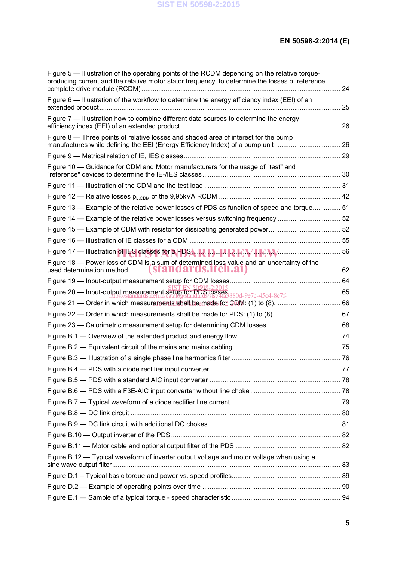| Figure 5 — Illustration of the operating points of the RCDM depending on the relative torque-<br>producing current and the relative motor stator frequency, to determine the losses of reference |  |
|--------------------------------------------------------------------------------------------------------------------------------------------------------------------------------------------------|--|
| Figure 6 - Illustration of the workflow to determine the energy efficiency index (EEI) of an                                                                                                     |  |
| Figure 7 - Illustration how to combine different data sources to determine the energy                                                                                                            |  |
| Figure 8 — Three points of relative losses and shaded area of interest for the pump<br>manufactures while defining the EEI (Energy Efficiency Index) of a pump unit 26                           |  |
|                                                                                                                                                                                                  |  |
| Figure 10 - Guidance for CDM and Motor manufacturers for the usage of "test" and                                                                                                                 |  |
|                                                                                                                                                                                                  |  |
|                                                                                                                                                                                                  |  |
| Figure 13 — Example of the relative power losses of PDS as function of speed and torque 51                                                                                                       |  |
| Figure 14 — Example of the relative power losses versus switching frequency  52                                                                                                                  |  |
|                                                                                                                                                                                                  |  |
|                                                                                                                                                                                                  |  |
| Figure 17 — Illustration of IES classes for a PDSA-R.D. P.R.E.V.I.E.W.                                                                                                                           |  |
| Figure 18 - Power loss of CDM is a sum of determined loss value and an uncertainty of the                                                                                                        |  |
|                                                                                                                                                                                                  |  |
| SISTEN 50598-22015<br>Figure 20 — Input-output measurement setup for PDS losses.<br>65 Sister and Standards. Iteh.avcatalog/standards/sist/41a3880d-9e7c-45c4-8c7f                               |  |
|                                                                                                                                                                                                  |  |
|                                                                                                                                                                                                  |  |
|                                                                                                                                                                                                  |  |
|                                                                                                                                                                                                  |  |
|                                                                                                                                                                                                  |  |
|                                                                                                                                                                                                  |  |
|                                                                                                                                                                                                  |  |
|                                                                                                                                                                                                  |  |
|                                                                                                                                                                                                  |  |
|                                                                                                                                                                                                  |  |
|                                                                                                                                                                                                  |  |
|                                                                                                                                                                                                  |  |
|                                                                                                                                                                                                  |  |
|                                                                                                                                                                                                  |  |
| Figure B.12 - Typical waveform of inverter output voltage and motor voltage when using a                                                                                                         |  |
|                                                                                                                                                                                                  |  |
|                                                                                                                                                                                                  |  |
|                                                                                                                                                                                                  |  |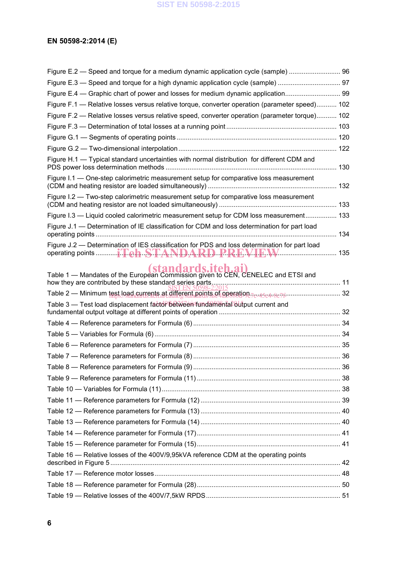| Figure E.2 — Speed and torque for a medium dynamic application cycle (sample)  96              |  |
|------------------------------------------------------------------------------------------------|--|
| Figure E.3 - Speed and torque for a high dynamic application cycle (sample)  97                |  |
| Figure E.4 — Graphic chart of power and losses for medium dynamic application 99               |  |
| Figure F.1 — Relative losses versus relative torque, converter operation (parameter speed) 102 |  |
| Figure F.2 - Relative losses versus relative speed, converter operation (parameter torque) 102 |  |
|                                                                                                |  |
|                                                                                                |  |
|                                                                                                |  |
| Figure H.1 - Typical standard uncertainties with normal distribution for different CDM and     |  |
| Figure I.1 - One-step calorimetric measurement setup for comparative loss measurement          |  |
| Figure I.2 — Two-step calorimetric measurement setup for comparative loss measurement          |  |
| Figure I.3 — Liquid cooled calorimetric measurement setup for CDM loss measurement 133         |  |
| Figure J.1 - Determination of IE classification for CDM and loss determination for part load   |  |
|                                                                                                |  |
| Table 1 — Mandates of the European Commission given to CEN, CENELEC and ETSI and               |  |
|                                                                                                |  |
| Table 3 — Test load displacement factor between fundamental output current and                 |  |
|                                                                                                |  |
|                                                                                                |  |
|                                                                                                |  |
|                                                                                                |  |
|                                                                                                |  |
|                                                                                                |  |
|                                                                                                |  |
|                                                                                                |  |
|                                                                                                |  |
|                                                                                                |  |
|                                                                                                |  |
|                                                                                                |  |
| Table 16 - Relative losses of the 400V/9,95kVA reference CDM at the operating points           |  |
|                                                                                                |  |
|                                                                                                |  |
|                                                                                                |  |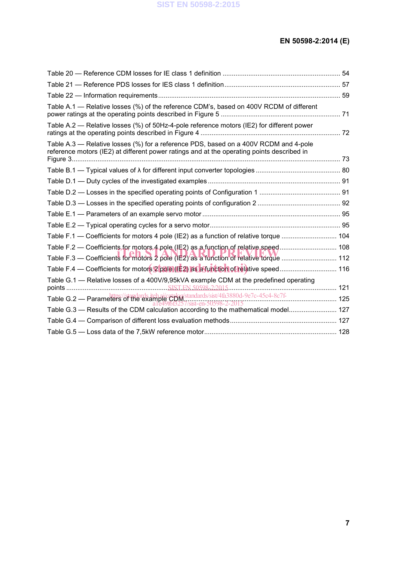| Table A.1 - Relative losses (%) of the reference CDM's, based on 400V RCDM of different                                                                                                                                        |  |
|--------------------------------------------------------------------------------------------------------------------------------------------------------------------------------------------------------------------------------|--|
| Table A.2 — Relative losses (%) of 50Hz-4-pole reference motors (IE2) for different power                                                                                                                                      |  |
| Table A.3 - Relative losses (%) for a reference PDS, based on a 400V RCDM and 4-pole<br>reference motors (IE2) at different power ratings and at the operating points described in                                             |  |
|                                                                                                                                                                                                                                |  |
|                                                                                                                                                                                                                                |  |
|                                                                                                                                                                                                                                |  |
|                                                                                                                                                                                                                                |  |
|                                                                                                                                                                                                                                |  |
|                                                                                                                                                                                                                                |  |
| Table F.1 - Coefficients for motors 4 pole (IE2) as a function of relative torque  104                                                                                                                                         |  |
| Table F.2 - Coefficients for motors 4 pole (IE2) as a function of relative speed 108                                                                                                                                           |  |
|                                                                                                                                                                                                                                |  |
|                                                                                                                                                                                                                                |  |
| Table G.1 — Relative losses of a 400V/9,95kVA example CDM at the predefined operating                                                                                                                                          |  |
|                                                                                                                                                                                                                                |  |
| Table G.2 — Parameters of the example constant of the example of the example of the example of the example of the example of the example of the example of the example of the state and the state of the state of the state of |  |
| Table G.3 - Results of the CDM calculation according to the mathematical model 127                                                                                                                                             |  |
|                                                                                                                                                                                                                                |  |
|                                                                                                                                                                                                                                |  |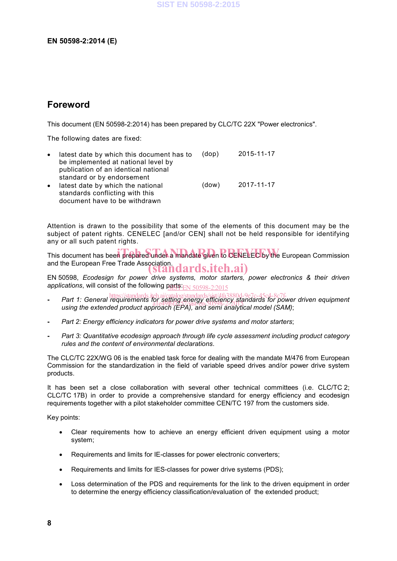## **Foreword**

This document (EN 50598-2:2014) has been prepared by CLC/TC 22X "Power electronics".

The following dates are fixed:

| $\bullet$ | latest date by which this document has to<br>be implemented at national level by<br>publication of an identical national<br>standard or by endorsement | (dop) | 2015-11-17 |
|-----------|--------------------------------------------------------------------------------------------------------------------------------------------------------|-------|------------|
| $\bullet$ | latest date by which the national                                                                                                                      | (dow) | 2017-11-17 |

standards conflicting with this document have to be withdrawn

Attention is drawn to the possibility that some of the elements of this document may be the subject of patent rights. CENELEC [and/or CEN] shall not be held responsible for identifying any or all such patent rights.

This document has been prepared under a mandate given to CENELEC by the European Commission and the European Free Trade Association. (standards.iteh.ai)

EN 50598, *Ecodesign for power drive systems, motor starters, power electronics & their driven*  a*pplications*, will consist of the following parts  $_{\rm EN~50598-2:2015}$ 

- **-** *Part 1: General requirements for setting energy efficiency standards for power driven equipment*  https://standards.iteh.ai/catalog/standards/sist/4fa3880d-9e7c-45c4-8c7f*using the extended product approach (EPA), and semi-analytical model (SAM)*;<br>using the extended product approach (EPA), and semi-analytical model (SAM);
- **-** *Part 2: Energy efficiency indicators for power drive systems and motor starters*;
- **-** *Part 3: Quantitative ecodesign approach through life cycle assessment including product category rules and the content of environmental declarations*.

The CLC/TC 22X/WG 06 is the enabled task force for dealing with the mandate M/476 from European Commission for the standardization in the field of variable speed drives and/or power drive system products.

It has been set a close collaboration with several other technical committees (i.e. CLC/TC 2; CLC/TC 17B) in order to provide a comprehensive standard for energy efficiency and ecodesign requirements together with a pilot stakeholder committee CEN/TC 197 from the customers side.

Key points:

- Clear requirements how to achieve an energy efficient driven equipment using a motor system;
- Requirements and limits for IE-classes for power electronic converters;
- Requirements and limits for IES-classes for power drive systems (PDS);
- Loss determination of the PDS and requirements for the link to the driven equipment in order to determine the energy efficiency classification/evaluation of the extended product;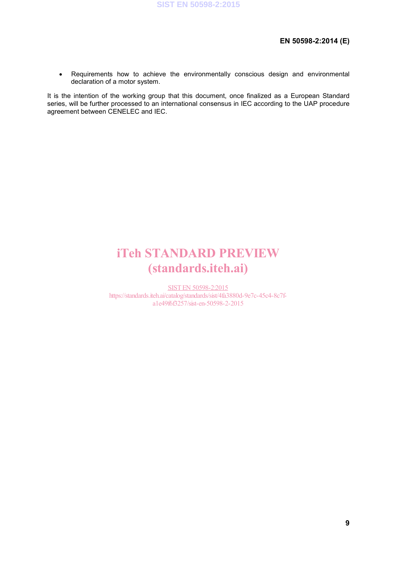• Requirements how to achieve the environmentally conscious design and environmental declaration of a motor system.

It is the intention of the working group that this document, once finalized as a European Standard series, will be further processed to an international consensus in IEC according to the UAP procedure agreement between CENELEC and IEC.

# iTeh STANDARD PREVIEW (standards.iteh.ai)

SIST EN 50598-2:2015 https://standards.iteh.ai/catalog/standards/sist/4fa3880d-9e7c-45c4-8c7fa1e49f6f3257/sist-en-50598-2-2015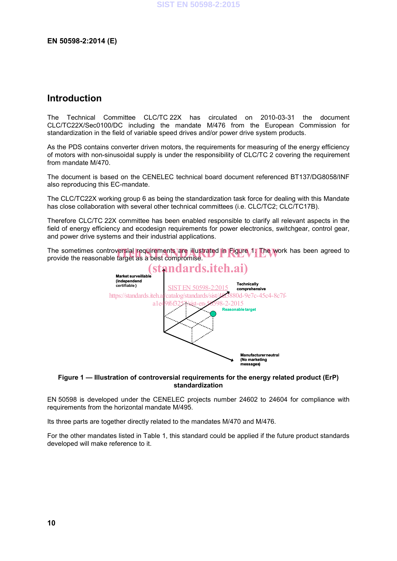## **Introduction**

The Technical Committee CLC/TC 22X has circulated on 2010-03-31 the document CLC/TC22X/Sec0100/DC including the mandate M/476 from the European Commission for standardization in the field of variable speed drives and/or power drive system products.

As the PDS contains converter driven motors, the requirements for measuring of the energy efficiency of motors with non-sinusoidal supply is under the responsibility of CLC/TC 2 covering the requirement from mandate M/470.

The document is based on the CENELEC technical board document referenced BT137/DG8058/INF also reproducing this EC-mandate.

The CLC/TC22X working group 6 as being the standardization task force for dealing with this Mandate has close collaboration with several other technical committees (i.e. CLC/TC2; CLC/TC17B).

Therefore CLC/TC 22X committee has been enabled responsible to clarify all relevant aspects in the field of energy efficiency and ecodesign requirements for power electronics, switchgear, control gear, and power drive systems and their industrial applications.

The sometimes controversial requirements are illustrated in Figure 1. The work has been agreed to provide the reasonable target as a best compromise. provide the reasonable target as a best compromise.



#### **Figure 1 — Illustration of controversial requirements for the energy related product (ErP) standardization**

EN 50598 is developed under the CENELEC projects number 24602 to 24604 for compliance with requirements from the horizontal mandate M/495.

Its three parts are together directly related to the mandates M/470 and M/476.

For the other mandates listed in Table 1, this standard could be applied if the future product standards developed will make reference to it.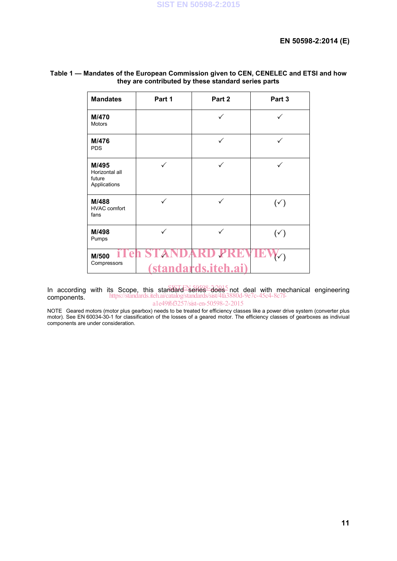| <b>Mandates</b>                                   | Part 1       | Part 2                        | Part 3         |
|---------------------------------------------------|--------------|-------------------------------|----------------|
| M/470<br><b>Motors</b>                            |              | ✓                             | ✓              |
| M/476<br><b>PDS</b>                               |              |                               | ✓              |
| M/495<br>Horizontal all<br>future<br>Applications | ✓            |                               |                |
| M/488<br><b>HVAC comfort</b><br>fans              | $\checkmark$ |                               | $(\check{ }')$ |
| M/498<br>Pumps                                    | ✓            |                               | $(\check{ }')$ |
| M/500<br>Compressors                              | iTeh STANDAI | KD YKE<br>(standards.iteh.ai) |                |

#### **Table 1 — Mandates of the European Commission given to CEN, CENELEC and ETSI and how they are contributed by these standard series parts**

In according with its Scope, this standard series does not deal with mechanical engineering components. SIST EN 50598-22015 https://standards.iteh.ai/catalog/standards/sist/4fa3880d-9e7c-45c4-8c7f-

a1e49f6f3257/sist-en-50598-2-2015

NOTE Geared motors (motor plus gearbox) needs to be treated for efficiency classes like a power drive system (converter plus motor). See EN 60034-30-1 for classification of the losses of a geared motor. The efficiency classes of gearboxes as indiviual components are under consideration.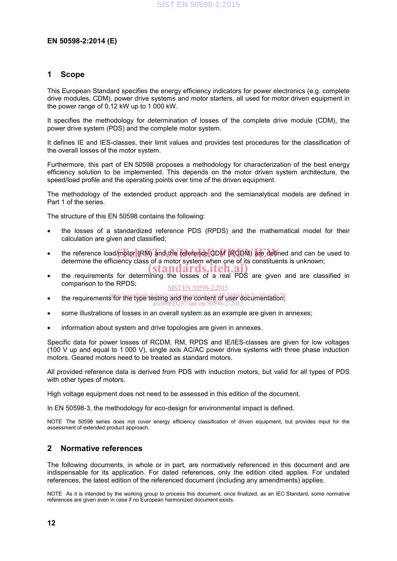#### **1 Scope**

This European Standard specifies the energy efficiency indicators for power electronics (e.g. complete drive modules, CDM), power drive systems and motor starters, all used for motor driven equipment in the power range of 0,12 kW up to 1 000 kW.

It specifies the methodology for determination of losses of the complete drive module (CDM), the power drive system (PDS) and the complete motor system.

It defines IE and IES-classes, their limit values and provides test procedures for the classification of the overall losses of the motor system.

Furthermore, this part of EN 50598 proposes a methodology for characterization of the best energy efficiency solution to be implemented. This depends on the motor driven system architecture, the speed/load profile and the operating points over time of the driven equipment.

The methodology of the extended product approach and the semianalytical models are defined in Part 1 of the series.

The structure of this EN 50598 contains the following:

- the losses of a standardized reference PDS (RPDS) and the mathematical model for their calculation are given and classified;
- the reference load/motor  $(RM)$  and the reference CDM  $(RCDM)$  are defined and can be used to determine the efficiency close of a meter express when are of its constituents is unknown. determine the efficiency class of a motor system when one of its constituents is unknown; standards.iteh.a
- the requirements for determining the losses of a real PDS are given and are classified in comparison to the RPDS; SIST EN 50598-2:2015
- the requirements for the type testing and the content of user documentation; a1e49f6f3257/sist-en-50598-2-2015
- some illustrations of losses in an overall system as an example are given in annexes;
- information about system and drive topologies are given in annexes.

Specific data for power losses of RCDM, RM, RPDS and IE/IES-classes are given for low voltages (100 V up and equal to 1 000 V), single axis AC/AC power drive systems with three phase induction motors. Geared motors need to be treated as standard motors.

All provided reference data is derived from PDS with induction motors, but valid for all types of PDS with other types of motors.

High voltage equipment does not need to be assessed in this edition of the document.

In EN 50598-3, the methodology for eco-design for environmental impact is defined.

NOTE The 50598 series does not cover energy efficiency classification of driven equipment, but provides input for the assessment of extended product approach.

#### **2 Normative references**

The following documents, in whole or in part, are normatively referenced in this document and are indispensable for its application. For dated references, only the edition cited applies. For undated references, the latest edition of the referenced document (including any amendments) applies.

NOTE As it is intended by the working group to process this document, once finalized, as an IEC Standard, some normative references are given even in case if no European harmonized document exists.